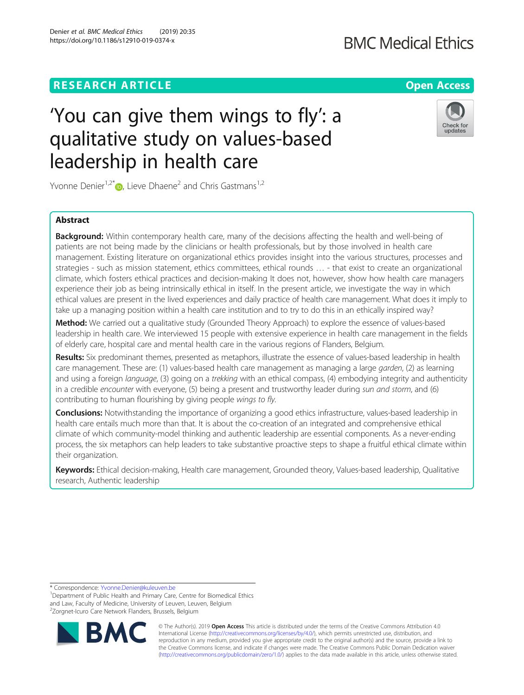# **RESEARCH ARTICLE Example 2014 12:30 The Contract of Contract ACCESS**

# 'You can give them wings to fly': a qualitative study on values-based leadership in health care

Yvonne Denier<sup>1[,](http://orcid.org/0000-0002-3715-4236)2\*</sup> $\bullet$ , Lieve Dhaene<sup>2</sup> and Chris Gastmans<sup>1,2</sup>

## Abstract

Background: Within contemporary health care, many of the decisions affecting the health and well-being of patients are not being made by the clinicians or health professionals, but by those involved in health care management. Existing literature on organizational ethics provides insight into the various structures, processes and strategies - such as mission statement, ethics committees, ethical rounds … - that exist to create an organizational climate, which fosters ethical practices and decision-making It does not, however, show how health care managers experience their job as being intrinsically ethical in itself. In the present article, we investigate the way in which ethical values are present in the lived experiences and daily practice of health care management. What does it imply to take up a managing position within a health care institution and to try to do this in an ethically inspired way?

Method: We carried out a qualitative study (Grounded Theory Approach) to explore the essence of values-based leadership in health care. We interviewed 15 people with extensive experience in health care management in the fields of elderly care, hospital care and mental health care in the various regions of Flanders, Belgium.

Results: Six predominant themes, presented as metaphors, illustrate the essence of values-based leadership in health care management. These are: (1) values-based health care management as managing a large garden, (2) as learning and using a foreign language, (3) going on a trekking with an ethical compass, (4) embodying integrity and authenticity in a credible encounter with everyone, (5) being a present and trustworthy leader during sun and storm, and (6) contributing to human flourishing by giving people wings to fly.

Conclusions: Notwithstanding the importance of organizing a good ethics infrastructure, values-based leadership in health care entails much more than that. It is about the co-creation of an integrated and comprehensive ethical climate of which community-model thinking and authentic leadership are essential components. As a never-ending process, the six metaphors can help leaders to take substantive proactive steps to shape a fruitful ethical climate within their organization.

Keywords: Ethical decision-making, Health care management, Grounded theory, Values-based leadership, Qualitative research, Authentic leadership

\* Correspondence: [Yvonne.Denier@kuleuven.be](mailto:Yvonne.Denier@kuleuven.be) <sup>1</sup>

<sup>&</sup>lt;sup>1</sup>Department of Public Health and Primary Care, Centre for Biomedical Ethics and Law, Faculty of Medicine, University of Leuven, Leuven, Belgium <sup>2</sup>Zorgnet-Icuro Care Network Flanders, Brussels, Belgium







updates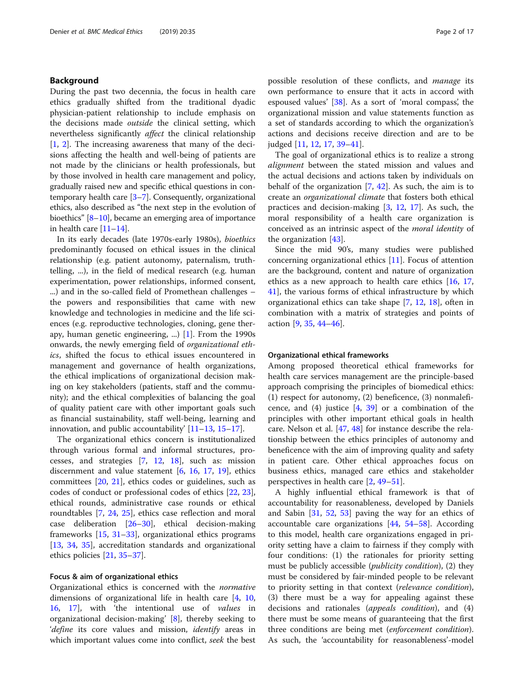## Background

During the past two decennia, the focus in health care ethics gradually shifted from the traditional dyadic physician-patient relationship to include emphasis on the decisions made outside the clinical setting, which nevertheless significantly affect the clinical relationship  $[1, 2]$  $[1, 2]$  $[1, 2]$  $[1, 2]$ . The increasing awareness that many of the decisions affecting the health and well-being of patients are not made by the clinicians or health professionals, but by those involved in health care management and policy, gradually raised new and specific ethical questions in contemporary health care [[3](#page-15-0)–[7](#page-15-0)]. Consequently, organizational ethics, also described as "the next step in the evolution of bioethics" [[8](#page-15-0)–[10\]](#page-15-0), became an emerging area of importance in health care [[11](#page-15-0)–[14\]](#page-15-0).

In its early decades (late 1970s-early 1980s), bioethics predominantly focused on ethical issues in the clinical relationship (e.g. patient autonomy, paternalism, truthtelling, ...), in the field of medical research (e.g. human experimentation, power relationships, informed consent, ...) and in the so-called field of Promethean challenges – the powers and responsibilities that came with new knowledge and technologies in medicine and the life sciences (e.g. reproductive technologies, cloning, gene therapy, human genetic engineering, ...) [\[1](#page-15-0)]. From the 1990s onwards, the newly emerging field of organizational ethics, shifted the focus to ethical issues encountered in management and governance of health organizations, the ethical implications of organizational decision making on key stakeholders (patients, staff and the community); and the ethical complexities of balancing the goal of quality patient care with other important goals such as financial sustainability, staff well-being, learning and innovation, and public accountability' [[11](#page-15-0)–[13](#page-15-0), [15](#page-15-0)–[17\]](#page-15-0).

The organizational ethics concern is institutionalized through various formal and informal structures, processes, and strategies [[7,](#page-15-0) [12,](#page-15-0) [18\]](#page-15-0), such as: mission discernment and value statement  $[6, 16, 17, 19]$  $[6, 16, 17, 19]$  $[6, 16, 17, 19]$  $[6, 16, 17, 19]$  $[6, 16, 17, 19]$  $[6, 16, 17, 19]$  $[6, 16, 17, 19]$  $[6, 16, 17, 19]$  $[6, 16, 17, 19]$ , ethics committees [\[20,](#page-15-0) [21\]](#page-15-0), ethics codes or guidelines, such as codes of conduct or professional codes of ethics [\[22](#page-15-0), [23](#page-15-0)], ethical rounds, administrative case rounds or ethical roundtables [[7,](#page-15-0) [24](#page-15-0), [25](#page-15-0)], ethics case reflection and moral case deliberation [[26](#page-15-0)–[30](#page-15-0)], ethical decision-making frameworks [[15,](#page-15-0) [31](#page-15-0)–[33](#page-15-0)], organizational ethics programs [[13,](#page-15-0) [34](#page-15-0), [35\]](#page-15-0), accreditation standards and organizational ethics policies [[21,](#page-15-0) [35](#page-15-0)–[37](#page-15-0)].

## Focus & aim of organizational ethics

Organizational ethics is concerned with the normative dimensions of organizational life in health care [[4,](#page-15-0) [10](#page-15-0), [16,](#page-15-0) [17\]](#page-15-0), with 'the intentional use of values in organizational decision-making' [[8\]](#page-15-0), thereby seeking to 'define its core values and mission, identify areas in which important values come into conflict, seek the best possible resolution of these conflicts, and manage its own performance to ensure that it acts in accord with espoused values' [[38\]](#page-15-0). As a sort of 'moral compass', the organizational mission and value statements function as a set of standards according to which the organization's actions and decisions receive direction and are to be judged [\[11,](#page-15-0) [12,](#page-15-0) [17,](#page-15-0) [39](#page-15-0)–[41](#page-15-0)].

The goal of organizational ethics is to realize a strong alignment between the stated mission and values and the actual decisions and actions taken by individuals on behalf of the organization [[7,](#page-15-0) [42](#page-15-0)]. As such, the aim is to create an organizational climate that fosters both ethical practices and decision-making [[3,](#page-15-0) [12,](#page-15-0) [17](#page-15-0)]. As such, the moral responsibility of a health care organization is conceived as an intrinsic aspect of the moral identity of the organization [[43](#page-15-0)].

Since the mid 90's, many studies were published concerning organizational ethics [[11\]](#page-15-0). Focus of attention are the background, content and nature of organization ethics as a new approach to health care ethics  $[16, 17, 17]$  $[16, 17, 17]$  $[16, 17, 17]$  $[16, 17, 17]$ [41\]](#page-15-0), the various forms of ethical infrastructure by which organizational ethics can take shape [\[7](#page-15-0), [12,](#page-15-0) [18](#page-15-0)], often in combination with a matrix of strategies and points of action  $[9, 35, 44-46]$  $[9, 35, 44-46]$  $[9, 35, 44-46]$  $[9, 35, 44-46]$  $[9, 35, 44-46]$  $[9, 35, 44-46]$  $[9, 35, 44-46]$  $[9, 35, 44-46]$  $[9, 35, 44-46]$ .

#### Organizational ethical frameworks

Among proposed theoretical ethical frameworks for health care services management are the principle-based approach comprising the principles of biomedical ethics: (1) respect for autonomy, (2) beneficence, (3) nonmaleficence, and  $(4)$  justice  $[4, 39]$  $[4, 39]$  $[4, 39]$  $[4, 39]$  or a combination of the principles with other important ethical goals in health care. Nelson et al. [[47,](#page-15-0) [48\]](#page-15-0) for instance describe the relationship between the ethics principles of autonomy and beneficence with the aim of improving quality and safety in patient care. Other ethical approaches focus on business ethics, managed care ethics and stakeholder perspectives in health care [\[2](#page-15-0), [49](#page-15-0)–[51\]](#page-15-0).

A highly influential ethical framework is that of accountability for reasonableness, developed by Daniels and Sabin [\[31,](#page-15-0) [52](#page-15-0), [53\]](#page-15-0) paving the way for an ethics of accountable care organizations  $[44, 54-58]$  $[44, 54-58]$  $[44, 54-58]$  $[44, 54-58]$  $[44, 54-58]$ . According to this model, health care organizations engaged in priority setting have a claim to fairness if they comply with four conditions: (1) the rationales for priority setting must be publicly accessible (publicity condition), (2) they must be considered by fair-minded people to be relevant to priority setting in that context (relevance condition), (3) there must be a way for appealing against these decisions and rationales (appeals condition), and (4) there must be some means of guaranteeing that the first three conditions are being met (enforcement condition). As such, the 'accountability for reasonableness'-model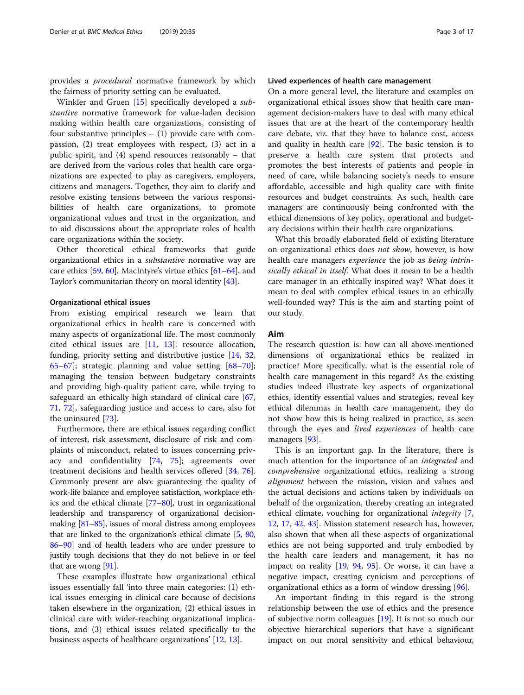provides a procedural normative framework by which the fairness of priority setting can be evaluated.

Winkler and Gruen [\[15](#page-15-0)] specifically developed a substantive normative framework for value-laden decision making within health care organizations, consisting of four substantive principles  $-$  (1) provide care with compassion, (2) treat employees with respect, (3) act in a public spirit, and (4) spend resources reasonably – that are derived from the various roles that health care organizations are expected to play as caregivers, employers, citizens and managers. Together, they aim to clarify and resolve existing tensions between the various responsibilities of health care organizations, to promote organizational values and trust in the organization, and to aid discussions about the appropriate roles of health care organizations within the society.

Other theoretical ethical frameworks that guide organizational ethics in a substantive normative way are care ethics [\[59](#page-15-0), [60\]](#page-16-0), MacIntyre's virtue ethics [\[61](#page-16-0)–[64\]](#page-16-0), and Taylor's communitarian theory on moral identity [\[43\]](#page-15-0).

## Organizational ethical issues

From existing empirical research we learn that organizational ethics in health care is concerned with many aspects of organizational life. The most commonly cited ethical issues are [[11,](#page-15-0) [13\]](#page-15-0): resource allocation, funding, priority setting and distributive justice [[14](#page-15-0), [32](#page-15-0), [65](#page-16-0)–[67](#page-16-0)]; strategic planning and value setting [[68](#page-16-0)–[70](#page-16-0)]; managing the tension between budgetary constraints and providing high-quality patient care, while trying to safeguard an ethically high standard of clinical care [[67](#page-16-0), [71,](#page-16-0) [72](#page-16-0)], safeguarding justice and access to care, also for the uninsured [[73\]](#page-16-0).

Furthermore, there are ethical issues regarding conflict of interest, risk assessment, disclosure of risk and complaints of misconduct, related to issues concerning privacy and confidentiality [[74](#page-16-0), [75](#page-16-0)]; agreements over treatment decisions and health services offered [[34,](#page-15-0) [76](#page-16-0)]. Commonly present are also: guaranteeing the quality of work-life balance and employee satisfaction, workplace ethics and the ethical climate [[77](#page-16-0)–[80](#page-16-0)], trust in organizational leadership and transparency of organizational decisionmaking [\[81](#page-16-0)–[85\]](#page-16-0), issues of moral distress among employees that are linked to the organization's ethical climate [[5](#page-15-0), [80](#page-16-0), [86](#page-16-0)–[90](#page-16-0)] and of health leaders who are under pressure to justify tough decisions that they do not believe in or feel that are wrong [\[91](#page-16-0)].

These examples illustrate how organizational ethical issues essentially fall 'into three main categories: (1) ethical issues emerging in clinical care because of decisions taken elsewhere in the organization, (2) ethical issues in clinical care with wider-reaching organizational implications, and (3) ethical issues related specifically to the business aspects of healthcare organizations' [[12,](#page-15-0) [13\]](#page-15-0).

## Lived experiences of health care management

On a more general level, the literature and examples on organizational ethical issues show that health care management decision-makers have to deal with many ethical issues that are at the heart of the contemporary health care debate, viz. that they have to balance cost, access and quality in health care [[92](#page-16-0)]. The basic tension is to preserve a health care system that protects and promotes the best interests of patients and people in need of care, while balancing society's needs to ensure affordable, accessible and high quality care with finite resources and budget constraints. As such, health care managers are continuously being confronted with the ethical dimensions of key policy, operational and budgetary decisions within their health care organizations.

What this broadly elaborated field of existing literature on organizational ethics does not show, however, is how health care managers experience the job as being intrinsically ethical in itself. What does it mean to be a health care manager in an ethically inspired way? What does it mean to deal with complex ethical issues in an ethically well-founded way? This is the aim and starting point of our study.

## Aim

The research question is: how can all above-mentioned dimensions of organizational ethics be realized in practice? More specifically, what is the essential role of health care management in this regard? As the existing studies indeed illustrate key aspects of organizational ethics, identify essential values and strategies, reveal key ethical dilemmas in health care management, they do not show how this is being realized in practice, as seen through the eyes and lived experiences of health care managers [[93\]](#page-16-0).

This is an important gap. In the literature, there is much attention for the importance of an *integrated* and comprehensive organizational ethics, realizing a strong alignment between the mission, vision and values and the actual decisions and actions taken by individuals on behalf of the organization, thereby creating an integrated ethical climate, vouching for organizational integrity [\[7](#page-15-0), [12,](#page-15-0) [17,](#page-15-0) [42,](#page-15-0) [43\]](#page-15-0). Mission statement research has, however, also shown that when all these aspects of organizational ethics are not being supported and truly embodied by the health care leaders and management, it has no impact on reality [[19](#page-15-0), [94,](#page-16-0) [95\]](#page-16-0). Or worse, it can have a negative impact, creating cynicism and perceptions of organizational ethics as a form of window dressing [[96\]](#page-16-0).

An important finding in this regard is the strong relationship between the use of ethics and the presence of subjective norm colleagues [\[19](#page-15-0)]. It is not so much our objective hierarchical superiors that have a significant impact on our moral sensitivity and ethical behaviour,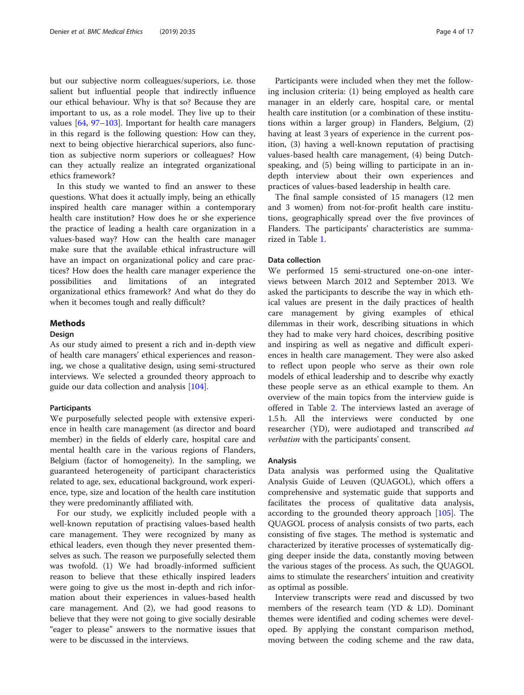but our subjective norm colleagues/superiors, i.e. those salient but influential people that indirectly influence our ethical behaviour. Why is that so? Because they are important to us, as a role model. They live up to their values [\[64](#page-16-0), [97](#page-16-0)–[103](#page-16-0)]. Important for health care managers in this regard is the following question: How can they, next to being objective hierarchical superiors, also function as subjective norm superiors or colleagues? How can they actually realize an integrated organizational ethics framework?

In this study we wanted to find an answer to these questions. What does it actually imply, being an ethically inspired health care manager within a contemporary health care institution? How does he or she experience the practice of leading a health care organization in a values-based way? How can the health care manager make sure that the available ethical infrastructure will have an impact on organizational policy and care practices? How does the health care manager experience the possibilities and limitations of an integrated organizational ethics framework? And what do they do when it becomes tough and really difficult?

## Methods

## Design

As our study aimed to present a rich and in-depth view of health care managers' ethical experiences and reasoning, we chose a qualitative design, using semi-structured interviews. We selected a grounded theory approach to guide our data collection and analysis [\[104\]](#page-16-0).

## Participants

We purposefully selected people with extensive experience in health care management (as director and board member) in the fields of elderly care, hospital care and mental health care in the various regions of Flanders, Belgium (factor of homogeneity). In the sampling, we guaranteed heterogeneity of participant characteristics related to age, sex, educational background, work experience, type, size and location of the health care institution they were predominantly affiliated with.

For our study, we explicitly included people with a well-known reputation of practising values-based health care management. They were recognized by many as ethical leaders, even though they never presented themselves as such. The reason we purposefully selected them was twofold. (1) We had broadly-informed sufficient reason to believe that these ethically inspired leaders were going to give us the most in-depth and rich information about their experiences in values-based health care management. And (2), we had good reasons to believe that they were not going to give socially desirable "eager to please" answers to the normative issues that were to be discussed in the interviews.

Participants were included when they met the following inclusion criteria: (1) being employed as health care manager in an elderly care, hospital care, or mental health care institution (or a combination of these institutions within a larger group) in Flanders, Belgium, (2) having at least 3 years of experience in the current position, (3) having a well-known reputation of practising values-based health care management, (4) being Dutchspeaking, and (5) being willing to participate in an indepth interview about their own experiences and practices of values-based leadership in health care.

The final sample consisted of 15 managers (12 men and 3 women) from not-for-profit health care institutions, geographically spread over the five provinces of Flanders. The participants' characteristics are summarized in Table [1.](#page-4-0)

## Data collection

We performed 15 semi-structured one-on-one interviews between March 2012 and September 2013. We asked the participants to describe the way in which ethical values are present in the daily practices of health care management by giving examples of ethical dilemmas in their work, describing situations in which they had to make very hard choices, describing positive and inspiring as well as negative and difficult experiences in health care management. They were also asked to reflect upon people who serve as their own role models of ethical leadership and to describe why exactly these people serve as an ethical example to them. An overview of the main topics from the interview guide is offered in Table [2](#page-4-0). The interviews lasted an average of 1.5 h. All the interviews were conducted by one researcher (YD), were audiotaped and transcribed ad verbatim with the participants' consent.

#### Analysis

Data analysis was performed using the Qualitative Analysis Guide of Leuven (QUAGOL), which offers a comprehensive and systematic guide that supports and facilitates the process of qualitative data analysis, according to the grounded theory approach [[105\]](#page-16-0). The QUAGOL process of analysis consists of two parts, each consisting of five stages. The method is systematic and characterized by iterative processes of systematically digging deeper inside the data, constantly moving between the various stages of the process. As such, the QUAGOL aims to stimulate the researchers' intuition and creativity as optimal as possible.

Interview transcripts were read and discussed by two members of the research team (YD & LD). Dominant themes were identified and coding schemes were developed. By applying the constant comparison method, moving between the coding scheme and the raw data,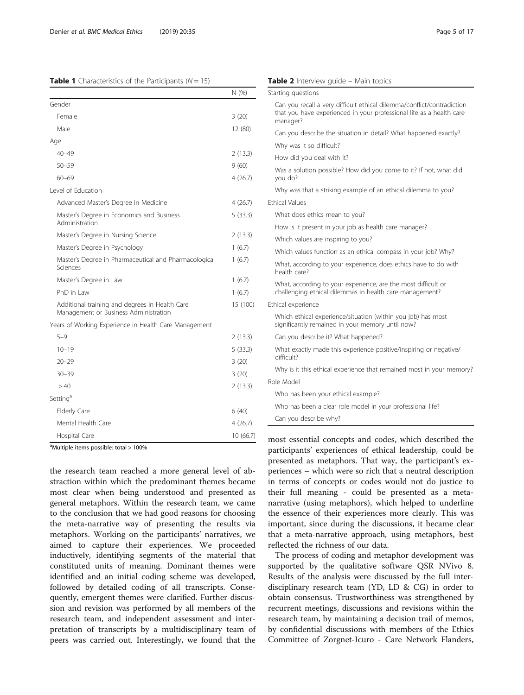## <span id="page-4-0"></span>**Table 1** Characteristics of the Participants ( $N = 15$ )

|                                                                                         | N (%)    |  |
|-----------------------------------------------------------------------------------------|----------|--|
| Gender                                                                                  |          |  |
| Female                                                                                  | 3(20)    |  |
| Male                                                                                    | 12 (80)  |  |
| Age                                                                                     |          |  |
| $40 - 49$                                                                               | 2(13.3)  |  |
| $50 - 59$                                                                               | 9(60)    |  |
| $60 - 69$                                                                               | 4(26.7)  |  |
| Level of Education                                                                      |          |  |
| Advanced Master's Degree in Medicine                                                    | 4(26.7)  |  |
| Master's Degree in Economics and Business<br>Administration                             | 5(33.3)  |  |
| Master's Degree in Nursing Science                                                      | 2(13.3)  |  |
| Master's Degree in Psychology                                                           | 1(6.7)   |  |
| Master's Degree in Pharmaceutical and Pharmacological<br>Sciences                       | 1(6.7)   |  |
| Master's Degree in Law                                                                  | 1(6.7)   |  |
| PhD in Law                                                                              | 1(6.7)   |  |
| Additional training and degrees in Health Care<br>Management or Business Administration | 15 (100) |  |
| Years of Working Experience in Health Care Management                                   |          |  |
| $5 - 9$                                                                                 | 2(13.3)  |  |
| $10 - 19$                                                                               | 5(33.3)  |  |
| $20 - 29$                                                                               | 3(20)    |  |
| $30 - 39$                                                                               | 3(20)    |  |
| >40                                                                                     | 2(13.3)  |  |
| Setting <sup>a</sup>                                                                    |          |  |
| <b>Elderly Care</b>                                                                     | 6(40)    |  |
| Mental Health Care                                                                      | 4 (26.7) |  |
| Hospital Care                                                                           |          |  |

<sup>a</sup>Multiple items possible: total > 100%

the research team reached a more general level of abstraction within which the predominant themes became most clear when being understood and presented as general metaphors. Within the research team, we came to the conclusion that we had good reasons for choosing the meta-narrative way of presenting the results via metaphors. Working on the participants' narratives, we aimed to capture their experiences. We proceeded inductively, identifying segments of the material that constituted units of meaning. Dominant themes were identified and an initial coding scheme was developed, followed by detailed coding of all transcripts. Consequently, emergent themes were clarified. Further discussion and revision was performed by all members of the research team, and independent assessment and interpretation of transcripts by a multidisciplinary team of peers was carried out. Interestingly, we found that the

|                       | Starting questions                                                                                                                                         |
|-----------------------|------------------------------------------------------------------------------------------------------------------------------------------------------------|
|                       | Can you recall a very difficult ethical dilemma/conflict/contradiction<br>that you have experienced in your professional life as a health care<br>manager? |
|                       | Can you describe the situation in detail? What happened exactly?                                                                                           |
|                       | Why was it so difficult?                                                                                                                                   |
|                       | How did you deal with it?                                                                                                                                  |
| you do?               | Was a solution possible? How did you come to it? If not, what did                                                                                          |
|                       | Why was that a striking example of an ethical dilemma to you?                                                                                              |
| <b>Ethical Values</b> |                                                                                                                                                            |
|                       | What does ethics mean to you?                                                                                                                              |
|                       | How is it present in your job as health care manager?                                                                                                      |
|                       | Which values are inspiring to you?                                                                                                                         |
|                       | Which values function as an ethical compass in your job? Why?                                                                                              |
|                       | What, according to your experience, does ethics have to do with<br>health care?                                                                            |
|                       | What, according to your experience, are the most difficult or<br>challenging ethical dilemmas in health care management?                                   |
|                       | Ethical experience                                                                                                                                         |
|                       | Which ethical experience/situation (within you job) has most<br>significantly remained in your memory until now?                                           |
|                       | Can you describe it? What happened?                                                                                                                        |
| difficult?            | What exactly made this experience positive/inspiring or negative/                                                                                          |
|                       | Why is it this ethical experience that remained most in your memory?                                                                                       |
| Role Model            |                                                                                                                                                            |
|                       | Who has been your ethical example?                                                                                                                         |
|                       | Who has been a clear role model in your professional life?                                                                                                 |
|                       | Can you describe why?                                                                                                                                      |

most essential concepts and codes, which described the participants' experiences of ethical leadership, could be presented as metaphors. That way, the participant's experiences – which were so rich that a neutral description in terms of concepts or codes would not do justice to their full meaning - could be presented as a metanarrative (using metaphors), which helped to underline the essence of their experiences more clearly. This was important, since during the discussions, it became clear that a meta-narrative approach, using metaphors, best reflected the richness of our data.

The process of coding and metaphor development was supported by the qualitative software QSR NVivo 8. Results of the analysis were discussed by the full interdisciplinary research team (YD, LD & CG) in order to obtain consensus. Trustworthiness was strengthened by recurrent meetings, discussions and revisions within the research team, by maintaining a decision trail of memos, by confidential discussions with members of the Ethics Committee of Zorgnet-Icuro - Care Network Flanders,

# Table 2 Interview quide - Main topics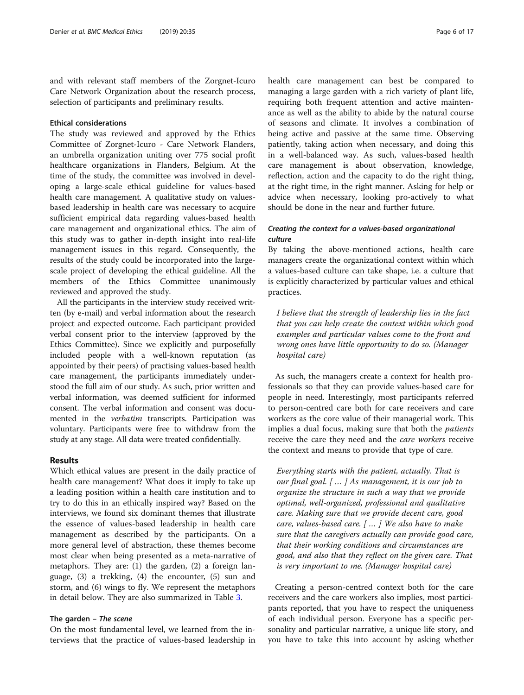and with relevant staff members of the Zorgnet-Icuro Care Network Organization about the research process, selection of participants and preliminary results.

## Ethical considerations

The study was reviewed and approved by the Ethics Committee of Zorgnet-Icuro - Care Network Flanders, an umbrella organization uniting over 775 social profit healthcare organizations in Flanders, Belgium. At the time of the study, the committee was involved in developing a large-scale ethical guideline for values-based health care management. A qualitative study on valuesbased leadership in health care was necessary to acquire sufficient empirical data regarding values-based health care management and organizational ethics. The aim of this study was to gather in-depth insight into real-life management issues in this regard. Consequently, the results of the study could be incorporated into the largescale project of developing the ethical guideline. All the members of the Ethics Committee unanimously reviewed and approved the study.

All the participants in the interview study received written (by e-mail) and verbal information about the research project and expected outcome. Each participant provided verbal consent prior to the interview (approved by the Ethics Committee). Since we explicitly and purposefully included people with a well-known reputation (as appointed by their peers) of practising values-based health care management, the participants immediately understood the full aim of our study. As such, prior written and verbal information, was deemed sufficient for informed consent. The verbal information and consent was documented in the verbatim transcripts. Participation was voluntary. Participants were free to withdraw from the study at any stage. All data were treated confidentially.

## Results

Which ethical values are present in the daily practice of health care management? What does it imply to take up a leading position within a health care institution and to try to do this in an ethically inspired way? Based on the interviews, we found six dominant themes that illustrate the essence of values-based leadership in health care management as described by the participants. On a more general level of abstraction, these themes become most clear when being presented as a meta-narrative of metaphors. They are: (1) the garden, (2) a foreign language, (3) a trekking, (4) the encounter, (5) sun and storm, and (6) wings to fly. We represent the metaphors in detail below. They are also summarized in Table [3](#page-6-0).

## The garden – The scene

On the most fundamental level, we learned from the interviews that the practice of values-based leadership in health care management can best be compared to managing a large garden with a rich variety of plant life, requiring both frequent attention and active maintenance as well as the ability to abide by the natural course of seasons and climate. It involves a combination of being active and passive at the same time. Observing patiently, taking action when necessary, and doing this in a well-balanced way. As such, values-based health care management is about observation, knowledge, reflection, action and the capacity to do the right thing, at the right time, in the right manner. Asking for help or advice when necessary, looking pro-actively to what should be done in the near and further future.

## Creating the context for a values-based organizational culture

By taking the above-mentioned actions, health care managers create the organizational context within which a values-based culture can take shape, i.e. a culture that is explicitly characterized by particular values and ethical practices.

I believe that the strength of leadership lies in the fact that you can help create the context within which good examples and particular values come to the front and wrong ones have little opportunity to do so. (Manager hospital care)

As such, the managers create a context for health professionals so that they can provide values-based care for people in need. Interestingly, most participants referred to person-centred care both for care receivers and care workers as the core value of their managerial work. This implies a dual focus, making sure that both the *patients* receive the care they need and the care workers receive the context and means to provide that type of care.

Everything starts with the patient, actually. That is our final goal. [ … ] As management, it is our job to organize the structure in such a way that we provide optimal, well-organized, professional and qualitative care. Making sure that we provide decent care, good care, values-based care. [ … ] We also have to make sure that the caregivers actually can provide good care, that their working conditions and circumstances are good, and also that they reflect on the given care. That is very important to me. (Manager hospital care)

Creating a person-centred context both for the care receivers and the care workers also implies, most participants reported, that you have to respect the uniqueness of each individual person. Everyone has a specific personality and particular narrative, a unique life story, and you have to take this into account by asking whether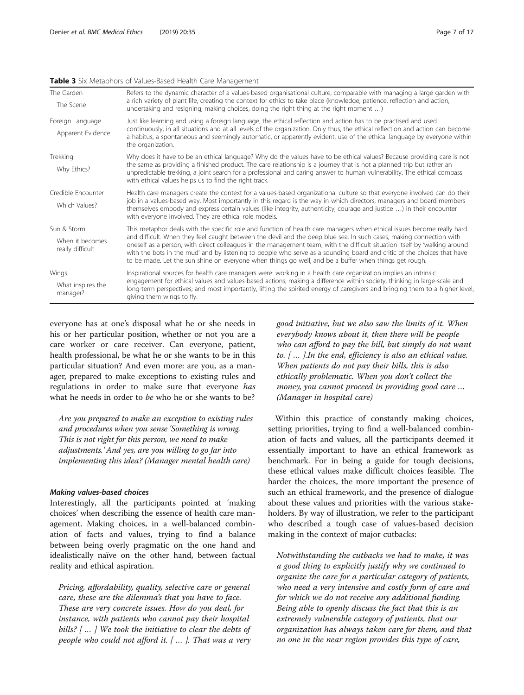## <span id="page-6-0"></span>Table 3 Six Metaphors of Values-Based Health Care Management

| The Garden                          | Refers to the dynamic character of a values-based organisational culture, comparable with managing a large garden with                                                                                                                                                                                                                                                                                                                                                               |  |
|-------------------------------------|--------------------------------------------------------------------------------------------------------------------------------------------------------------------------------------------------------------------------------------------------------------------------------------------------------------------------------------------------------------------------------------------------------------------------------------------------------------------------------------|--|
| The Scene                           | a rich variety of plant life, creating the context for ethics to take place (knowledge, patience, reflection and action,<br>undertaking and resigning, making choices, doing the right thing at the right moment )                                                                                                                                                                                                                                                                   |  |
| Foreign Language                    | Just like learning and using a foreign language, the ethical reflection and action has to be practised and used                                                                                                                                                                                                                                                                                                                                                                      |  |
| Apparent Evidence                   | continuously, in all situations and at all levels of the organization. Only thus, the ethical reflection and action can become<br>a habitus, a spontaneous and seemingly automatic, or apparently evident, use of the ethical language by everyone within<br>the organization.                                                                                                                                                                                                       |  |
| Trekking                            | Why does it have to be an ethical language? Why do the values have to be ethical values? Because providing care is not                                                                                                                                                                                                                                                                                                                                                               |  |
| Why Ethics?                         | the same as providing a finished product. The care relationship is a journey that is not a planned trip but rather an<br>unpredictable trekking, a joint search for a professional and caring answer to human vulnerability. The ethical compass<br>with ethical values helps us to find the right track.                                                                                                                                                                            |  |
| Credible Encounter                  | Health care managers create the context for a values-based organizational culture so that everyone involved can do their                                                                                                                                                                                                                                                                                                                                                             |  |
| Which Values?                       | job in a values-based way. Most importantly in this regard is the way in which directors, managers and board members<br>themselves embody and express certain values (like integrity, authenticity, courage and justice ) in their encounter<br>with everyone involved. They are ethical role models.                                                                                                                                                                                |  |
| Sun & Storm                         | This metaphor deals with the specific role and function of health care managers when ethical issues become really hard                                                                                                                                                                                                                                                                                                                                                               |  |
| When it becomes<br>really difficult | and difficult. When they feel caught between the devil and the deep blue sea. In such cases, making connection with<br>oneself as a person, with direct colleagues in the management team, with the difficult situation itself by 'walking around<br>with the bots in the mud' and by listening to people who serve as a sounding board and critic of the choices that have<br>to be made. Let the sun shine on everyone when things go well, and be a buffer when things get rough. |  |
| Wings                               | Inspirational sources for health care managers were: working in a health care organization implies an intrinsic                                                                                                                                                                                                                                                                                                                                                                      |  |
| What inspires the<br>manager?       | engagement for ethical values and values-based actions; making a difference within society, thinking in large-scale and<br>long-term perspectives; and most importantly, lifting the spirited energy of caregivers and bringing them to a higher level,<br>giving them wings to fly.                                                                                                                                                                                                 |  |

everyone has at one's disposal what he or she needs in his or her particular position, whether or not you are a care worker or care receiver. Can everyone, patient, health professional, be what he or she wants to be in this particular situation? And even more: are you, as a manager, prepared to make exceptions to existing rules and regulations in order to make sure that everyone has what he needs in order to be who he or she wants to be?

Are you prepared to make an exception to existing rules and procedures when you sense 'Something is wrong. This is not right for this person, we need to make adjustments.' And yes, are you willing to go far into implementing this idea? (Manager mental health care)

## Making values-based choices

Interestingly, all the participants pointed at 'making choices' when describing the essence of health care management. Making choices, in a well-balanced combination of facts and values, trying to find a balance between being overly pragmatic on the one hand and idealistically naïve on the other hand, between factual reality and ethical aspiration.

Pricing, affordability, quality, selective care or general care, these are the dilemma's that you have to face. These are very concrete issues. How do you deal, for instance, with patients who cannot pay their hospital bills? [...] We took the initiative to clear the debts of people who could not afford it. [ … ]. That was a very

good initiative, but we also saw the limits of it. When everybody knows about it, then there will be people who can afford to pay the bill, but simply do not want to. [ … ].In the end, efficiency is also an ethical value. When patients do not pay their bills, this is also ethically problematic. When you don't collect the money, you cannot proceed in providing good care … (Manager in hospital care)

Within this practice of constantly making choices, setting priorities, trying to find a well-balanced combination of facts and values, all the participants deemed it essentially important to have an ethical framework as benchmark. For in being a guide for tough decisions, these ethical values make difficult choices feasible. The harder the choices, the more important the presence of such an ethical framework, and the presence of dialogue about these values and priorities with the various stakeholders. By way of illustration, we refer to the participant who described a tough case of values-based decision making in the context of major cutbacks:

Notwithstanding the cutbacks we had to make, it was a good thing to explicitly justify why we continued to organize the care for a particular category of patients, who need a very intensive and costly form of care and for which we do not receive any additional funding. Being able to openly discuss the fact that this is an extremely vulnerable category of patients, that our organization has always taken care for them, and that no one in the near region provides this type of care,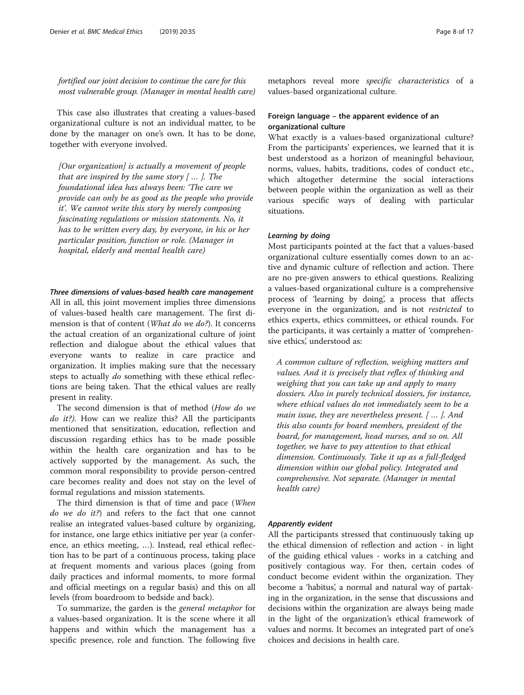fortified our joint decision to continue the care for this most vulnerable group. (Manager in mental health care)

This case also illustrates that creating a values-based organizational culture is not an individual matter, to be done by the manager on one's own. It has to be done, together with everyone involved.

[Our organization] is actually a movement of people that are inspired by the same story  $[$  ...  $]$ . The foundational idea has always been: 'The care we provide can only be as good as the people who provide it'. We cannot write this story by merely composing fascinating regulations or mission statements. No, it has to be written every day, by everyone, in his or her particular position, function or role. (Manager in hospital, elderly and mental health care)

## Three dimensions of values-based health care management

All in all, this joint movement implies three dimensions of values-based health care management. The first dimension is that of content (What do we do?). It concerns the actual creation of an organizational culture of joint reflection and dialogue about the ethical values that everyone wants to realize in care practice and organization. It implies making sure that the necessary steps to actually do something with these ethical reflections are being taken. That the ethical values are really present in reality.

The second dimension is that of method (How do we do *it?*). How can we realize this? All the participants mentioned that sensitization, education, reflection and discussion regarding ethics has to be made possible within the health care organization and has to be actively supported by the management. As such, the common moral responsibility to provide person-centred care becomes reality and does not stay on the level of formal regulations and mission statements.

The third dimension is that of time and pace (When do we do it?) and refers to the fact that one cannot realise an integrated values-based culture by organizing, for instance, one large ethics initiative per year (a conference, an ethics meeting, …). Instead, real ethical reflection has to be part of a continuous process, taking place at frequent moments and various places (going from daily practices and informal moments, to more formal and official meetings on a regular basis) and this on all levels (from boardroom to bedside and back).

To summarize, the garden is the general metaphor for a values-based organization. It is the scene where it all happens and within which the management has a specific presence, role and function. The following five metaphors reveal more specific characteristics of a values-based organizational culture.

## Foreign language – the apparent evidence of an organizational culture

What exactly is a values-based organizational culture? From the participants' experiences, we learned that it is best understood as a horizon of meaningful behaviour, norms, values, habits, traditions, codes of conduct etc., which altogether determine the social interactions between people within the organization as well as their various specific ways of dealing with particular situations.

## Learning by doing

Most participants pointed at the fact that a values-based organizational culture essentially comes down to an active and dynamic culture of reflection and action. There are no pre-given answers to ethical questions. Realizing a values-based organizational culture is a comprehensive process of 'learning by doing', a process that affects everyone in the organization, and is not restricted to ethics experts, ethics committees, or ethical rounds. For the participants, it was certainly a matter of 'comprehensive ethics', understood as:

A common culture of reflection, weighing matters and values. And it is precisely that reflex of thinking and weighing that you can take up and apply to many dossiers. Also in purely technical dossiers, for instance, where ethical values do not immediately seem to be a main issue, they are nevertheless present. [ … ]. And this also counts for board members, president of the board, for management, head nurses, and so on. All together, we have to pay attention to that ethical dimension. Continuously. Take it up as a full-fledged dimension within our global policy. Integrated and comprehensive. Not separate. (Manager in mental health care)

## Apparently evident

All the participants stressed that continuously taking up the ethical dimension of reflection and action - in light of the guiding ethical values - works in a catching and positively contagious way. For then, certain codes of conduct become evident within the organization. They become a 'habitus', a normal and natural way of partaking in the organization, in the sense that discussions and decisions within the organization are always being made in the light of the organization's ethical framework of values and norms. It becomes an integrated part of one's choices and decisions in health care.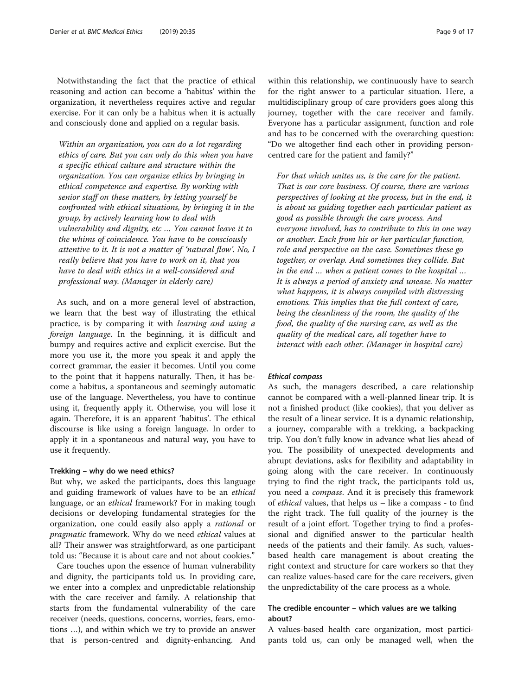Notwithstanding the fact that the practice of ethical reasoning and action can become a 'habitus' within the organization, it nevertheless requires active and regular exercise. For it can only be a habitus when it is actually and consciously done and applied on a regular basis.

Within an organization, you can do a lot regarding ethics of care. But you can only do this when you have a specific ethical culture and structure within the organization. You can organize ethics by bringing in ethical competence and expertise. By working with senior staff on these matters, by letting yourself be confronted with ethical situations, by bringing it in the group, by actively learning how to deal with vulnerability and dignity, etc … You cannot leave it to the whims of coincidence. You have to be consciously attentive to it. It is not a matter of 'natural flow'. No, I really believe that you have to work on it, that you have to deal with ethics in a well-considered and professional way. (Manager in elderly care)

As such, and on a more general level of abstraction, we learn that the best way of illustrating the ethical practice, is by comparing it with learning and using a foreign language. In the beginning, it is difficult and bumpy and requires active and explicit exercise. But the more you use it, the more you speak it and apply the correct grammar, the easier it becomes. Until you come to the point that it happens naturally. Then, it has become a habitus, a spontaneous and seemingly automatic use of the language. Nevertheless, you have to continue using it, frequently apply it. Otherwise, you will lose it again. Therefore, it is an apparent 'habitus'. The ethical discourse is like using a foreign language. In order to apply it in a spontaneous and natural way, you have to use it frequently.

## Trekking – why do we need ethics?

But why, we asked the participants, does this language and guiding framework of values have to be an *ethical* language, or an *ethical* framework? For in making tough decisions or developing fundamental strategies for the organization, one could easily also apply a *rational* or pragmatic framework. Why do we need ethical values at all? Their answer was straightforward, as one participant told us: "Because it is about care and not about cookies."

Care touches upon the essence of human vulnerability and dignity, the participants told us. In providing care, we enter into a complex and unpredictable relationship with the care receiver and family. A relationship that starts from the fundamental vulnerability of the care receiver (needs, questions, concerns, worries, fears, emotions …), and within which we try to provide an answer that is person-centred and dignity-enhancing. And within this relationship, we continuously have to search for the right answer to a particular situation. Here, a multidisciplinary group of care providers goes along this journey, together with the care receiver and family. Everyone has a particular assignment, function and role and has to be concerned with the overarching question: "Do we altogether find each other in providing personcentred care for the patient and family?"

For that which unites us, is the care for the patient. That is our core business. Of course, there are various perspectives of looking at the process, but in the end, it is about us guiding together each particular patient as good as possible through the care process. And everyone involved, has to contribute to this in one way or another. Each from his or her particular function, role and perspective on the case. Sometimes these go together, or overlap. And sometimes they collide. But in the end … when a patient comes to the hospital … It is always a period of anxiety and unease. No matter what happens, it is always compiled with distressing emotions. This implies that the full context of care, being the cleanliness of the room, the quality of the food, the quality of the nursing care, as well as the quality of the medical care, all together have to interact with each other. (Manager in hospital care)

## Ethical compass

As such, the managers described, a care relationship cannot be compared with a well-planned linear trip. It is not a finished product (like cookies), that you deliver as the result of a linear service. It is a dynamic relationship, a journey, comparable with a trekking, a backpacking trip. You don't fully know in advance what lies ahead of you. The possibility of unexpected developments and abrupt deviations, asks for flexibility and adaptability in going along with the care receiver. In continuously trying to find the right track, the participants told us, you need a compass. And it is precisely this framework of ethical values, that helps us – like a compass - to find the right track. The full quality of the journey is the result of a joint effort. Together trying to find a professional and dignified answer to the particular health needs of the patients and their family. As such, valuesbased health care management is about creating the right context and structure for care workers so that they can realize values-based care for the care receivers, given the unpredictability of the care process as a whole.

## The credible encounter – which values are we talking about?

A values-based health care organization, most participants told us, can only be managed well, when the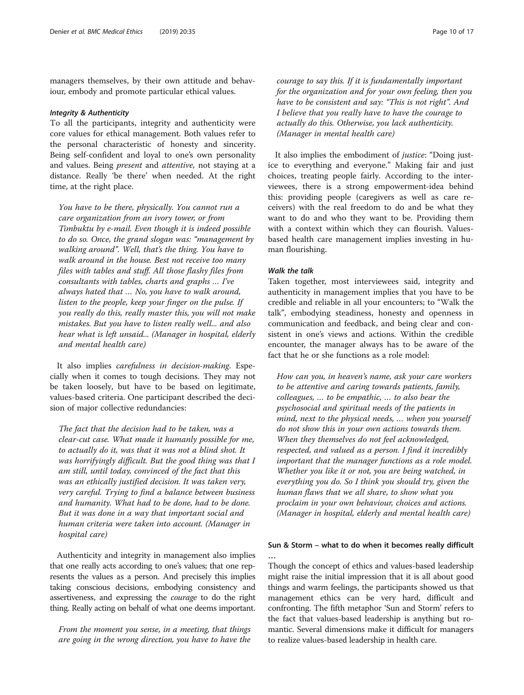managers themselves, by their own attitude and behaviour, embody and promote particular ethical values.

#### Integrity & Authenticity

To all the participants, integrity and authenticity were core values for ethical management. Both values refer to the personal characteristic of honesty and sincerity. Being self-confident and loyal to one's own personality and values. Being present and attentive, not staying at a distance. Really 'be there' when needed. At the right time, at the right place.

You have to be there, physically. You cannot run a care organization from an ivory tower, or from Timbuktu by e-mail. Even though it is indeed possible to do so. Once, the grand slogan was: "management by walking around". Well, that's the thing. You have to walk around in the house. Best not receive too many files with tables and stuff. All those flashy files from consultants with tables, charts and graphs … I've always hated that … No, you have to walk around, listen to the people, keep your finger on the pulse. If you really do this, really master this, you will not make mistakes. But you have to listen really well... and also hear what is left unsaid... (Manager in hospital, elderly and mental health care)

It also implies carefulness in decision-making. Especially when it comes to tough decisions. They may not be taken loosely, but have to be based on legitimate, values-based criteria. One participant described the decision of major collective redundancies:

The fact that the decision had to be taken, was a clear-cut case. What made it humanly possible for me, to actually do it, was that it was not a blind shot. It was horrifyingly difficult. But the good thing was that I am still, until today, convinced of the fact that this was an ethically justified decision. It was taken very, very careful. Trying to find a balance between business and humanity. What had to be done, had to be done. But it was done in a way that important social and human criteria were taken into account. (Manager in hospital care)

Authenticity and integrity in management also implies that one really acts according to one's values; that one represents the values as a person. And precisely this implies taking conscious decisions, embodying consistency and assertiveness, and expressing the courage to do the right thing. Really acting on behalf of what one deems important.

From the moment you sense, in a meeting, that things are going in the wrong direction, you have to have the

courage to say this. If it is fundamentally important for the organization and for your own feeling, then you have to be consistent and say: "This is not right". And I believe that you really have to have the courage to actually do this. Otherwise, you lack authenticity. (Manager in mental health care)

It also implies the embodiment of *justice*: "Doing justice to everything and everyone." Making fair and just choices, treating people fairly. According to the interviewees, there is a strong empowerment-idea behind this: providing people (caregivers as well as care receivers) with the real freedom to do and be what they want to do and who they want to be. Providing them with a context within which they can flourish. Valuesbased health care management implies investing in human flourishing.

## Walk the talk

…

Taken together, most interviewees said, integrity and authenticity in management implies that you have to be credible and reliable in all your encounters; to "Walk the talk", embodying steadiness, honesty and openness in communication and feedback, and being clear and consistent in one's views and actions. Within the credible encounter, the manager always has to be aware of the fact that he or she functions as a role model:

How can you, in heaven's name, ask your care workers to be attentive and caring towards patients, family, colleagues, … to be empathic, … to also bear the psychosocial and spiritual needs of the patients in mind, next to the physical needs, … when you yourself do not show this in your own actions towards them. When they themselves do not feel acknowledged, respected, and valued as a person. I find it incredibly important that the manager functions as a role model. Whether you like it or not, you are being watched, in everything you do. So I think you should try, given the human flaws that we all share, to show what you proclaim in your own behaviour, choices and actions. (Manager in hospital, elderly and mental health care)

## Sun & Storm – what to do when it becomes really difficult

Though the concept of ethics and values-based leadership might raise the initial impression that it is all about good things and warm feelings, the participants showed us that management ethics can be very hard, difficult and confronting. The fifth metaphor 'Sun and Storm' refers to the fact that values-based leadership is anything but romantic. Several dimensions make it difficult for managers to realize values-based leadership in health care.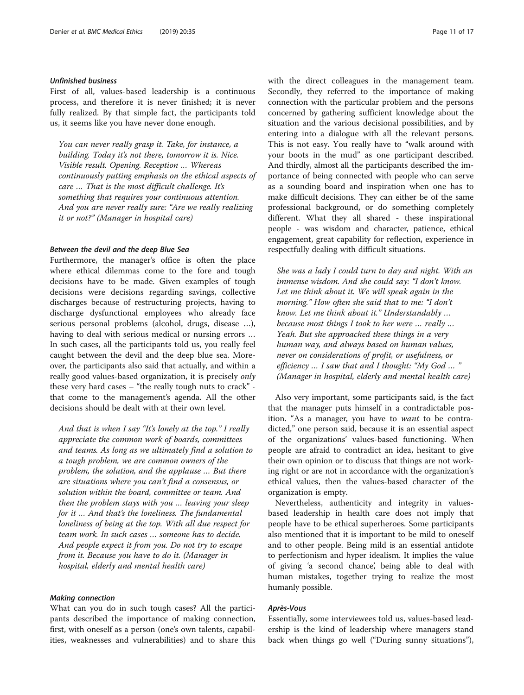## Unfinished business

First of all, values-based leadership is a continuous process, and therefore it is never finished; it is never fully realized. By that simple fact, the participants told us, it seems like you have never done enough.

You can never really grasp it. Take, for instance, a building. Today it's not there, tomorrow it is. Nice. Visible result. Opening. Reception … Whereas continuously putting emphasis on the ethical aspects of care … That is the most difficult challenge. It's something that requires your continuous attention. And you are never really sure: "Are we really realizing it or not?" (Manager in hospital care)

## Between the devil and the deep Blue Sea

Furthermore, the manager's office is often the place where ethical dilemmas come to the fore and tough decisions have to be made. Given examples of tough decisions were decisions regarding savings, collective discharges because of restructuring projects, having to discharge dysfunctional employees who already face serious personal problems (alcohol, drugs, disease …), having to deal with serious medical or nursing errors … In such cases, all the participants told us, you really feel caught between the devil and the deep blue sea. Moreover, the participants also said that actually, and within a really good values-based organization, it is precisely only these very hard cases – "the really tough nuts to crack" that come to the management's agenda. All the other decisions should be dealt with at their own level.

And that is when I say "It's lonely at the top." I really appreciate the common work of boards, committees and teams. As long as we ultimately find a solution to a tough problem, we are common owners of the problem, the solution, and the applause … But there are situations where you can't find a consensus, or solution within the board, committee or team. And then the problem stays with you … leaving your sleep for it … And that's the loneliness. The fundamental loneliness of being at the top. With all due respect for team work. In such cases … someone has to decide. And people expect it from you. Do not try to escape from it. Because you have to do it. (Manager in hospital, elderly and mental health care)

## Making connection

What can you do in such tough cases? All the participants described the importance of making connection, first, with oneself as a person (one's own talents, capabilities, weaknesses and vulnerabilities) and to share this with the direct colleagues in the management team. Secondly, they referred to the importance of making connection with the particular problem and the persons concerned by gathering sufficient knowledge about the situation and the various decisional possibilities, and by entering into a dialogue with all the relevant persons. This is not easy. You really have to "walk around with your boots in the mud" as one participant described. And thirdly, almost all the participants described the importance of being connected with people who can serve as a sounding board and inspiration when one has to make difficult decisions. They can either be of the same professional background, or do something completely different. What they all shared - these inspirational people - was wisdom and character, patience, ethical engagement, great capability for reflection, experience in respectfully dealing with difficult situations.

She was a lady I could turn to day and night. With an immense wisdom. And she could say: "I don't know. Let me think about it. We will speak again in the morning." How often she said that to me: "I don't know. Let me think about it." Understandably … because most things I took to her were … really … Yeah. But she approached these things in a very human way, and always based on human values, never on considerations of profit, or usefulness, or efficiency  $\ldots$  I saw that and I thought: "My God  $\ldots$ (Manager in hospital, elderly and mental health care)

Also very important, some participants said, is the fact that the manager puts himself in a contradictable position. "As a manager, you have to want to be contradicted," one person said, because it is an essential aspect of the organizations' values-based functioning. When people are afraid to contradict an idea, hesitant to give their own opinion or to discuss that things are not working right or are not in accordance with the organization's ethical values, then the values-based character of the organization is empty.

Nevertheless, authenticity and integrity in valuesbased leadership in health care does not imply that people have to be ethical superheroes. Some participants also mentioned that it is important to be mild to oneself and to other people. Being mild is an essential antidote to perfectionism and hyper idealism. It implies the value of giving 'a second chance', being able to deal with human mistakes, together trying to realize the most humanly possible.

## Après-Vous

Essentially, some interviewees told us, values-based leadership is the kind of leadership where managers stand back when things go well ("During sunny situations"),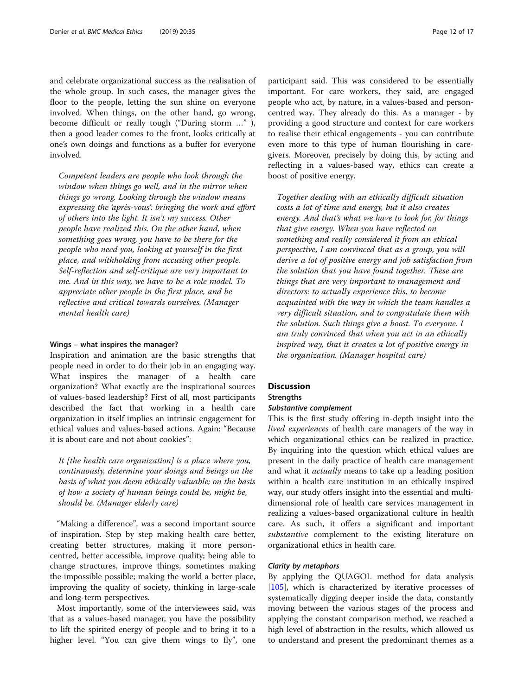and celebrate organizational success as the realisation of the whole group. In such cases, the manager gives the floor to the people, letting the sun shine on everyone involved. When things, on the other hand, go wrong, become difficult or really tough ("During storm …" ), then a good leader comes to the front, looks critically at one's own doings and functions as a buffer for everyone involved.

Competent leaders are people who look through the window when things go well, and in the mirror when things go wrong. Looking through the window means expressing the 'après-vous': bringing the work and effort of others into the light. It isn't my success. Other people have realized this. On the other hand, when something goes wrong, you have to be there for the people who need you, looking at yourself in the first place, and withholding from accusing other people. Self-reflection and self-critique are very important to me. And in this way, we have to be a role model. To appreciate other people in the first place, and be reflective and critical towards ourselves. (Manager mental health care)

## Wings – what inspires the manager?

Inspiration and animation are the basic strengths that people need in order to do their job in an engaging way. What inspires the manager of a health care organization? What exactly are the inspirational sources of values-based leadership? First of all, most participants described the fact that working in a health care organization in itself implies an intrinsic engagement for ethical values and values-based actions. Again: "Because it is about care and not about cookies":

It [the health care organization] is a place where you, continuously, determine your doings and beings on the basis of what you deem ethically valuable; on the basis of how a society of human beings could be, might be, should be. (Manager elderly care)

"Making a difference", was a second important source of inspiration. Step by step making health care better, creating better structures, making it more personcentred, better accessible, improve quality; being able to change structures, improve things, sometimes making the impossible possible; making the world a better place, improving the quality of society, thinking in large-scale and long-term perspectives.

Most importantly, some of the interviewees said, was that as a values-based manager, you have the possibility to lift the spirited energy of people and to bring it to a higher level. "You can give them wings to fly", one

participant said. This was considered to be essentially important. For care workers, they said, are engaged people who act, by nature, in a values-based and personcentred way. They already do this. As a manager - by providing a good structure and context for care workers to realise their ethical engagements - you can contribute even more to this type of human flourishing in caregivers. Moreover, precisely by doing this, by acting and reflecting in a values-based way, ethics can create a boost of positive energy.

Together dealing with an ethically difficult situation costs a lot of time and energy, but it also creates energy. And that's what we have to look for, for things that give energy. When you have reflected on something and really considered it from an ethical perspective, I am convinced that as a group, you will derive a lot of positive energy and job satisfaction from the solution that you have found together. These are things that are very important to management and directors: to actually experience this, to become acquainted with the way in which the team handles a very difficult situation, and to congratulate them with the solution. Such things give a boost. To everyone. I am truly convinced that when you act in an ethically inspired way, that it creates a lot of positive energy in the organization. (Manager hospital care)

## **Discussion**

## **Strengths**

## Substantive complement

This is the first study offering in-depth insight into the lived experiences of health care managers of the way in which organizational ethics can be realized in practice. By inquiring into the question which ethical values are present in the daily practice of health care management and what it actually means to take up a leading position within a health care institution in an ethically inspired way, our study offers insight into the essential and multidimensional role of health care services management in realizing a values-based organizational culture in health care. As such, it offers a significant and important substantive complement to the existing literature on organizational ethics in health care.

## Clarity by metaphors

By applying the QUAGOL method for data analysis [[105\]](#page-16-0), which is characterized by iterative processes of systematically digging deeper inside the data, constantly moving between the various stages of the process and applying the constant comparison method, we reached a high level of abstraction in the results, which allowed us to understand and present the predominant themes as a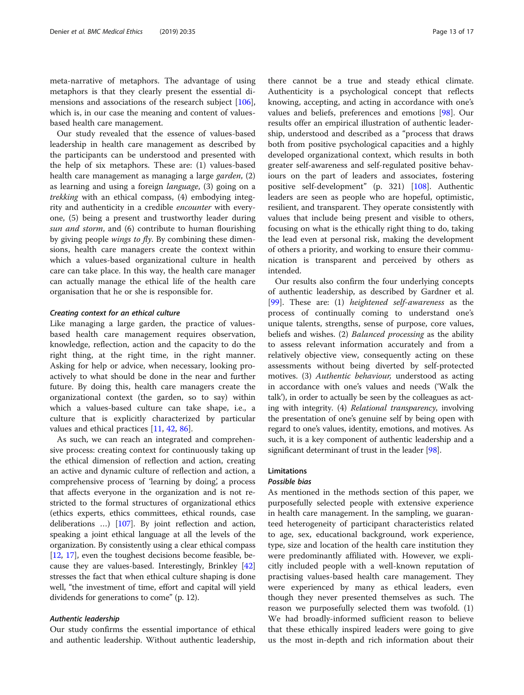meta-narrative of metaphors. The advantage of using metaphors is that they clearly present the essential di-mensions and associations of the research subject [\[106](#page-16-0)], which is, in our case the meaning and content of valuesbased health care management.

Our study revealed that the essence of values-based leadership in health care management as described by the participants can be understood and presented with the help of six metaphors. These are: (1) values-based health care management as managing a large garden, (2) as learning and using a foreign language, (3) going on a trekking with an ethical compass, (4) embodying integrity and authenticity in a credible encounter with everyone, (5) being a present and trustworthy leader during sun and storm, and (6) contribute to human flourishing by giving people wings to fly. By combining these dimensions, health care managers create the context within which a values-based organizational culture in health care can take place. In this way, the health care manager can actually manage the ethical life of the health care organisation that he or she is responsible for.

## Creating context for an ethical culture

Like managing a large garden, the practice of valuesbased health care management requires observation, knowledge, reflection, action and the capacity to do the right thing, at the right time, in the right manner. Asking for help or advice, when necessary, looking proactively to what should be done in the near and further future. By doing this, health care managers create the organizational context (the garden, so to say) within which a values-based culture can take shape, i.e., a culture that is explicitly characterized by particular values and ethical practices [\[11](#page-15-0), [42](#page-15-0), [86](#page-16-0)].

As such, we can reach an integrated and comprehensive process: creating context for continuously taking up the ethical dimension of reflection and action, creating an active and dynamic culture of reflection and action, a comprehensive process of 'learning by doing', a process that affects everyone in the organization and is not restricted to the formal structures of organizational ethics (ethics experts, ethics committees, ethical rounds, case deliberations …) [\[107\]](#page-16-0). By joint reflection and action, speaking a joint ethical language at all the levels of the organization. By consistently using a clear ethical compass [[12](#page-15-0), [17](#page-15-0)], even the toughest decisions become feasible, because they are values-based. Interestingly, Brinkley [[42](#page-15-0)] stresses the fact that when ethical culture shaping is done well, "the investment of time, effort and capital will yield dividends for generations to come" (p. 12).

## Authentic leadership

Our study confirms the essential importance of ethical and authentic leadership. Without authentic leadership,

there cannot be a true and steady ethical climate. Authenticity is a psychological concept that reflects knowing, accepting, and acting in accordance with one's values and beliefs, preferences and emotions [\[98](#page-16-0)]. Our results offer an empirical illustration of authentic leadership, understood and described as a "process that draws both from positive psychological capacities and a highly developed organizational context, which results in both greater self-awareness and self-regulated positive behaviours on the part of leaders and associates, fostering positive self-development" (p. 321) [\[108](#page-16-0)]. Authentic leaders are seen as people who are hopeful, optimistic, resilient, and transparent. They operate consistently with values that include being present and visible to others, focusing on what is the ethically right thing to do, taking the lead even at personal risk, making the development of others a priority, and working to ensure their communication is transparent and perceived by others as intended.

Our results also confirm the four underlying concepts of authentic leadership, as described by Gardner et al. [[99\]](#page-16-0). These are: (1) heightened self-awareness as the process of continually coming to understand one's unique talents, strengths, sense of purpose, core values, beliefs and wishes. (2) Balanced processing as the ability to assess relevant information accurately and from a relatively objective view, consequently acting on these assessments without being diverted by self-protected motives. (3) Authentic behaviour, understood as acting in accordance with one's values and needs ('Walk the talk'), in order to actually be seen by the colleagues as acting with integrity. (4) Relational transparency, involving the presentation of one's genuine self by being open with regard to one's values, identity, emotions, and motives. As such, it is a key component of authentic leadership and a significant determinant of trust in the leader [\[98\]](#page-16-0).

## Limitations

## Possible bias

As mentioned in the methods section of this paper, we purposefully selected people with extensive experience in health care management. In the sampling, we guaranteed heterogeneity of participant characteristics related to age, sex, educational background, work experience, type, size and location of the health care institution they were predominantly affiliated with. However, we explicitly included people with a well-known reputation of practising values-based health care management. They were experienced by many as ethical leaders, even though they never presented themselves as such. The reason we purposefully selected them was twofold. (1) We had broadly-informed sufficient reason to believe that these ethically inspired leaders were going to give us the most in-depth and rich information about their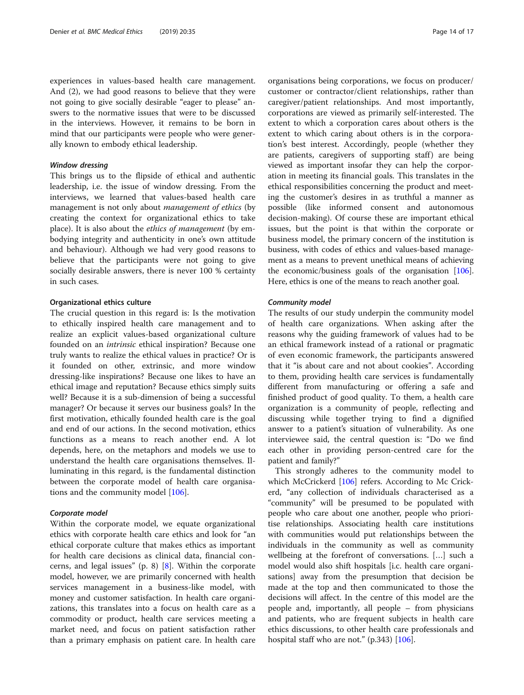experiences in values-based health care management. And (2), we had good reasons to believe that they were not going to give socially desirable "eager to please" answers to the normative issues that were to be discussed in the interviews. However, it remains to be born in mind that our participants were people who were generally known to embody ethical leadership.

#### Window dressing

This brings us to the flipside of ethical and authentic leadership, i.e. the issue of window dressing. From the interviews, we learned that values-based health care management is not only about *management of ethics* (by creating the context for organizational ethics to take place). It is also about the ethics of management (by embodying integrity and authenticity in one's own attitude and behaviour). Although we had very good reasons to believe that the participants were not going to give socially desirable answers, there is never 100 % certainty in such cases.

## Organizational ethics culture

The crucial question in this regard is: Is the motivation to ethically inspired health care management and to realize an explicit values-based organizational culture founded on an intrinsic ethical inspiration? Because one truly wants to realize the ethical values in practice? Or is it founded on other, extrinsic, and more window dressing-like inspirations? Because one likes to have an ethical image and reputation? Because ethics simply suits well? Because it is a sub-dimension of being a successful manager? Or because it serves our business goals? In the first motivation, ethically founded health care is the goal and end of our actions. In the second motivation, ethics functions as a means to reach another end. A lot depends, here, on the metaphors and models we use to understand the health care organisations themselves. Illuminating in this regard, is the fundamental distinction between the corporate model of health care organisations and the community model [[106\]](#page-16-0).

## Corporate model

Within the corporate model, we equate organizational ethics with corporate health care ethics and look for "an ethical corporate culture that makes ethics as important for health care decisions as clinical data, financial concerns, and legal issues" (p. 8) [\[8](#page-15-0)]. Within the corporate model, however, we are primarily concerned with health services management in a business-like model, with money and customer satisfaction. In health care organizations, this translates into a focus on health care as a commodity or product, health care services meeting a market need, and focus on patient satisfaction rather than a primary emphasis on patient care. In health care

organisations being corporations, we focus on producer/ customer or contractor/client relationships, rather than caregiver/patient relationships. And most importantly, corporations are viewed as primarily self-interested. The extent to which a corporation cares about others is the extent to which caring about others is in the corporation's best interest. Accordingly, people (whether they are patients, caregivers of supporting staff) are being viewed as important insofar they can help the corporation in meeting its financial goals. This translates in the ethical responsibilities concerning the product and meeting the customer's desires in as truthful a manner as possible (like informed consent and autonomous decision-making). Of course these are important ethical issues, but the point is that within the corporate or business model, the primary concern of the institution is business, with codes of ethics and values-based management as a means to prevent unethical means of achieving the economic/business goals of the organisation [[106](#page-16-0)]. Here, ethics is one of the means to reach another goal.

## Community model

The results of our study underpin the community model of health care organizations. When asking after the reasons why the guiding framework of values had to be an ethical framework instead of a rational or pragmatic of even economic framework, the participants answered that it "is about care and not about cookies". According to them, providing health care services is fundamentally different from manufacturing or offering a safe and finished product of good quality. To them, a health care organization is a community of people, reflecting and discussing while together trying to find a dignified answer to a patient's situation of vulnerability. As one interviewee said, the central question is: "Do we find each other in providing person-centred care for the patient and family?"

This strongly adheres to the community model to which McCrickerd [\[106](#page-16-0)] refers. According to Mc Crickerd, "any collection of individuals characterised as a "community" will be presumed to be populated with people who care about one another, people who prioritise relationships. Associating health care institutions with communities would put relationships between the individuals in the community as well as community wellbeing at the forefront of conversations. […] such a model would also shift hospitals [i.c. health care organisations] away from the presumption that decision be made at the top and then communicated to those the decisions will affect. In the centre of this model are the people and, importantly, all people – from physicians and patients, who are frequent subjects in health care ethics discussions, to other health care professionals and hospital staff who are not."  $(p.343)$  [\[106](#page-16-0)].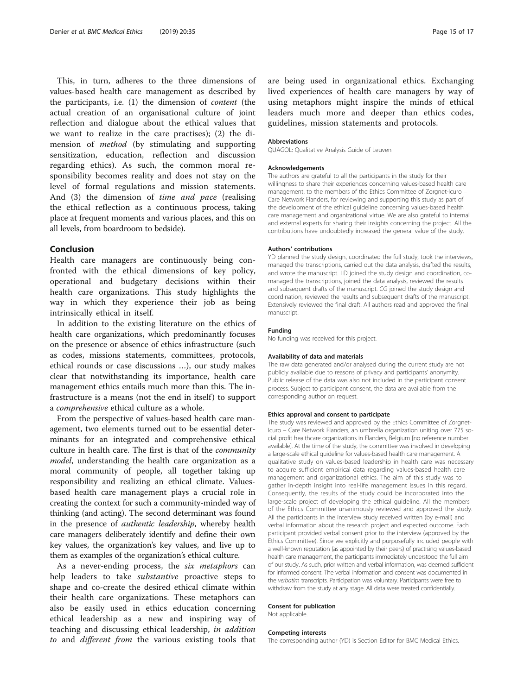This, in turn, adheres to the three dimensions of values-based health care management as described by the participants, i.e. (1) the dimension of content (the actual creation of an organisational culture of joint reflection and dialogue about the ethical values that we want to realize in the care practises); (2) the dimension of method (by stimulating and supporting sensitization, education, reflection and discussion regarding ethics). As such, the common moral responsibility becomes reality and does not stay on the level of formal regulations and mission statements. And (3) the dimension of time and pace (realising the ethical reflection as a continuous process, taking place at frequent moments and various places, and this on all levels, from boardroom to bedside).

## Conclusion

Health care managers are continuously being confronted with the ethical dimensions of key policy, operational and budgetary decisions within their health care organizations. This study highlights the way in which they experience their job as being intrinsically ethical in itself.

In addition to the existing literature on the ethics of health care organizations, which predominantly focuses on the presence or absence of ethics infrastructure (such as codes, missions statements, committees, protocols, ethical rounds or case discussions …), our study makes clear that notwithstanding its importance, health care management ethics entails much more than this. The infrastructure is a means (not the end in itself) to support a comprehensive ethical culture as a whole.

From the perspective of values-based health care management, two elements turned out to be essential determinants for an integrated and comprehensive ethical culture in health care. The first is that of the community model, understanding the health care organization as a moral community of people, all together taking up responsibility and realizing an ethical climate. Valuesbased health care management plays a crucial role in creating the context for such a community-minded way of thinking (and acting). The second determinant was found in the presence of authentic leadership, whereby health care managers deliberately identify and define their own key values, the organization's key values, and live up to them as examples of the organization's ethical culture.

As a never-ending process, the six metaphors can help leaders to take *substantive* proactive steps to shape and co-create the desired ethical climate within their health care organizations. These metaphors can also be easily used in ethics education concerning ethical leadership as a new and inspiring way of teaching and discussing ethical leadership, in addition to and different from the various existing tools that

are being used in organizational ethics. Exchanging lived experiences of health care managers by way of using metaphors might inspire the minds of ethical leaders much more and deeper than ethics codes, guidelines, mission statements and protocols.

### Abbreviations

QUAGOL: Qualitative Analysis Guide of Leuven

#### Acknowledgements

The authors are grateful to all the participants in the study for their willingness to share their experiences concerning values-based health care management, to the members of the Ethics Committee of Zorgnet-Icuro – Care Network Flanders, for reviewing and supporting this study as part of the development of the ethical guideline concerning values-based health care management and organizational virtue. We are also grateful to internal and external experts for sharing their insights concerning the project. All the contributions have undoubtedly increased the general value of the study.

#### Authors' contributions

YD planned the study design, coordinated the full study, took the interviews, managed the transcriptions, carried out the data analysis, drafted the results, and wrote the manuscript. LD joined the study design and coordination, comanaged the transcriptions, joined the data analysis, reviewed the results and subsequent drafts of the manuscript. CG joined the study design and coordination, reviewed the results and subsequent drafts of the manuscript. Extensively reviewed the final draft. All authors read and approved the final manuscript.

#### Funding

No funding was received for this project.

#### Availability of data and materials

The raw data generated and/or analysed during the current study are not publicly available due to reasons of privacy and participants' anonymity. Public release of the data was also not included in the participant consent process. Subject to participant consent, the data are available from the corresponding author on request.

#### Ethics approval and consent to participate

The study was reviewed and approved by the Ethics Committee of Zorgnet-Icuro – Care Network Flanders, an umbrella organization uniting over 775 social profit healthcare organizations in Flanders, Belgium [no reference number available]. At the time of the study, the committee was involved in developing a large-scale ethical guideline for values-based health care management. A qualitative study on values-based leadership in health care was necessary to acquire sufficient empirical data regarding values-based health care management and organizational ethics. The aim of this study was to gather in-depth insight into real-life management issues in this regard. Consequently, the results of the study could be incorporated into the large-scale project of developing the ethical guideline. All the members of the Ethics Committee unanimously reviewed and approved the study. All the participants in the interview study received written (by e-mail) and verbal information about the research project and expected outcome. Each participant provided verbal consent prior to the interview (approved by the Ethics Committee). Since we explicitly and purposefully included people with a well-known reputation (as appointed by their peers) of practising values-based health care management, the participants immediately understood the full aim of our study. As such, prior written and verbal information, was deemed sufficient for informed consent. The verbal information and consent was documented in the verbatim transcripts. Participation was voluntary. Participants were free to withdraw from the study at any stage. All data were treated confidentially.

#### Consent for publication

Not applicable.

#### Competing interests

The corresponding author (YD) is Section Editor for BMC Medical Ethics.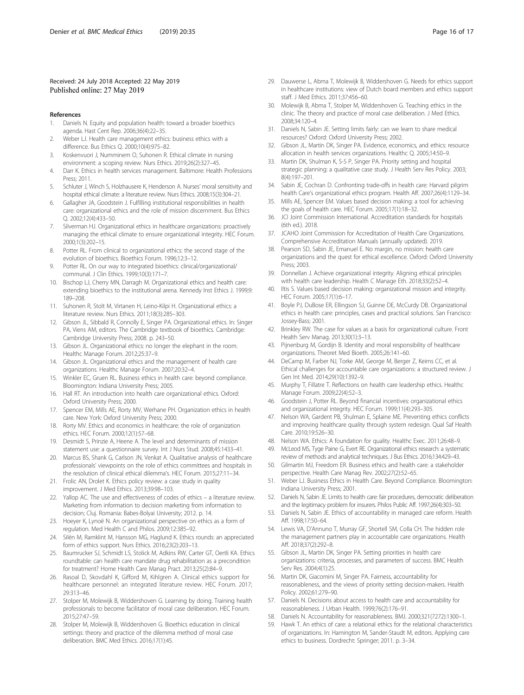## <span id="page-15-0"></span>Received: 24 July 2018 Accepted: 22 May 2019 Published online: 27 May 2019

#### References

- 1. Daniels N. Equity and population health: toward a broader bioethics agenda. Hast Cent Rep. 2006;36(4):22–35.
- Weber LJ. Health care management ethics: business ethics with a difference. Bus Ethics Q. 2000;10(4):975–82.
- 3. Koskenvuori J, Numminem O, Suhonen R. Ethical climate in nursing environment: a scoping review. Nurs Ethics. 2019;26(2):327–45.
- 4. Darr K. Ethics in health services management. Baltimore: Health Professions Press; 2011.
- 5. Schluter J, Winch S, Holzhausere K, Henderson A. Nurses' moral sensitivity and hospital ethical climate: a literature review. Nurs Ethics. 2008;15(3):304–21.
- 6. Gallagher JA, Goodstein J. Fulfilling institutional responsibilities in health care: organizational ethics and the role of mission discernment. Bus Ethics Q. 2002;12(4):433–50.
- 7. Silverman HJ. Organizational ethics in healthcare organizations: proactively managing the ethical climate to ensure organizational integrity. HEC Forum. 2000;1(3):202–15.
- 8. Potter RL. From clinical to organizational ethics: the second stage of the evolution of bioethics. Bioethics Forum. 1996;12:3–12.
- Potter RL. On our way to integrated bioethics: clinical/organizational/ communal. J Clin Ethics. 1999;10(3):171–7.
- Bischop LJ, Cherry MN, Darragh M. Organizational ethics and health care: extending bioethics to the institutional arena. Kennedy Inst Ethics J. 1999;9: 189–208.
- 11. Suhonen R, Stolt M, Virtanen H, Leino-Kilpi H. Organizational ethics: a literature review. Nurs Ethics. 2011;18(3):285–303.
- 12. Gibson JL, Sibbald R, Connolly E, Singer PA. Organizational ethics. In: Singer PA, Viens AM, editors. The Cambridge textbook of bioethics. Cambridge: Cambridge University Press; 2008. p. 243–50.
- 13. Gibson JL. Organizational ethics: no longer the elephant in the room. Healthc Manage Forum. 2012;25:37–9.
- 14. Gibson JL. Organizational ethics and the management of health care organizations. Healthc Manage Forum. 2007;20:32–4.
- 15. Winkler EC, Gruen RL. Business ethics in health care: beyond compliance. Bloomington: Indiana University Press; 2005.
- 16. Hall RT. An introduction into health care organizational ethics. Oxford: Oxford University Press; 2000.
- 17. Spencer EM, Mills AE, Rorty MV, Werhane PH. Organization ethics in health care. New York: Oxford University Press; 2000.
- 18. Rorty MV. Ethics and economics in healthcare: the role of organization ethics. HEC Forum. 2000;12(1):57–68.
- 19. Desmidt S, Prinzie A, Heene A. The level and determinants of mission statement use: a questionnaire survey. Int J Nurs Stud. 2008;45:1433–41.
- 20. Marcus BS, Shank G, Carlson JN, Venkat A. Qualitative analysis of healthcare professionals' viewpoints on the role of ethics committees and hospitals in the resolution of clinical ethical dilemma's. HEC Forum. 2015;27:11–34.
- 21. Frolic AN, Drolet K. Ethics policy review: a case study in quality improvement. J Med Ethics. 2013;39:98–103.
- 22. Yallop AC. The use and effectiveness of codes of ethics a literature review. Marketing from information to decision marketing from information to decision; Cluj. Romania: Babes-Bolyai University; 2012. p. 14.
- 23. Hoeyer K, Lynoë N. An organizational perspective on ethics as a form of regulation. Med Health C and Philos. 2009;12:385–92.
- 24. Silén M, Ramklint M, Hansson MG, Haglund K. Ethics rounds: an appreciated form of ethics support. Nurs Ethics. 2016;23(2):203–13.
- 25. Baumrucker SJ, Schmidt LS, Stolick M, Adkins RW, Carter GT, Oertli KA. Ethics roundtable: can health care mandate drug rehabilitation as a precondition for treatment? Home Health Care Manag Pract. 2013;25(2):84–9.
- 26. Rasoal D, Skovdahl K, Gifford M, Kihlgren A. Clinical ethics support for healthcare personnel: an integrated literature review. HEC Forum. 2017; 29:313–46.
- 27. Stolper M, Molewijk B, Widdershoven G. Learning by doing. Training health professionals to become facilitator of moral case deliberation. HEC Forum. 2015;27:47–59.
- 28. Stolper M, Molewijk B, Widdershoven G. Bioethics education in clinical settings: theory and practice of the dilemma method of moral case deliberation. BMC Med Ethics. 2016;17(1):45.
- 29. Dauwerse L, Abma T, Molewijk B, Widdershoven G. Needs for ethics support in healthcare institutions: view of Dutch board members and ethics support staff. J Med Ethics. 2011;37:456–60.
- 30. Molewijk B, Abma T, Stolper M, Widdershoven G. Teaching ethics in the clinic. The theory and practice of moral case deliberation. J Med Ethics. 2008;34:120–4.
- 31. Daniels N, Sabin JE. Setting limits fairly: can we learn to share medical resources? Oxford: Oxford University Press; 2002.
- 32. Gibson JL, Martin DK, Singer PA. Evidence, economics, and ethics: resource allocation in health services organizations. Healthc Q. 2005;14:50–9.
- 33. Martin DK, Shulman K, S-S P, Singer PA. Priority setting and hospital strategic planning: a qualitative case study. J Health Serv Res Policy. 2003; 8(4):197–201.
- 34. Sabin JE, Cochran D. Confronting trade-offs in health care: Harvard pilgrim health Care's organizational ethics program. Health Aff. 2007;26(4):1129–34.
- 35. Mills AE, Spencer EM. Values based decision making: a tool for achieving the goals of health care. HEC Forum. 2005;17(1):18–32.
- JCI Joint Commission International. Accreditation standards for hospitals (6th ed.). 2018.
- 37. JCAHO Joint Commission for Accreditation of Health Care Organizations. Comprehensive Accreditation Manuals (annually updated). 2019.
- 38. Pearson SD, Sabin JE, Emanuel E. No margin, no mission: health care organizations and the quest for ethical excellence. Oxford: Oxford University Press; 2003.
- Donnellan J. Achieve organizational integrity. Aligning ethical principles with health care leadership. Health C Manage Eth. 2018;33(2):52–4.
- 40. Iltis S. Values based decision making: organizational mission and integrity. HEC Forum. 2005;17(1):6–17.
- 41. Boyle PJ, DuBose ER, Ellingson SJ, Guinne DE, McCurdy DB. Organizational ethics in health care: principles, cases and practical solutions. San Francisco: Jossey-Bass; 2001.
- 42. Brinkley RW. The case for values as a basis for organizational culture. Front Health Serv Manag. 2013;30(1):3–13.
- 43. Pijnenburg M, Gordijn B. Identity and moral responsibility of healthcare organizations. Theoret Med Bioeth. 2005;26:141–60.
- DeCamp M, Farber NJ, Torke AM, George M, Berger Z, Keirns CC, et al. Ethical challenges for accountable care organizations: a structured review. J Gen Int Med. 2014;29(10):1392–9.
- 45. Murphy T, Fillatre T. Reflections on health care leadership ethics. Healthc Manage Forum. 2009;22(4):52–3.
- 46. Goodstein J, Potter RL. Beyond financial incentives: organizational ethics and organizational integrity. HEC Forum. 1999;11(4):293–305.
- 47. Nelson WA, Gardent PB, Shulman E, Splaine ME. Preventing ethics conflicts and improving healthcare quality through system redesign. Qual Saf Health Care. 2010;19:526–30.
- 48. Nelson WA. Ethics: A foundation for quality. Healthc Exec. 2011;26:48–9.
- 49. McLeod MS, Tyge Paine G, Evert RE. Organizational ethics research: a systematic review of methods and analytical techniques. J Bus Ethics. 2016;134:429–43.
- 50. Gilmartin MJ, Freedom ER. Business ethics and health care: a stakeholder perspective. Health Care Manag Rev. 2002;27(2):52–65.
- 51. Weber LJ. Business Ethics in Health Care. Beyond Compliance. Bloomington: Indiana University Press; 2001.
- 52. Daniels N, Sabin JE. Limits to health care: fair procedures, democratic deliberation and the legitimacy problem for insurers. Philos Public Aff. 1997;26(4):303–50.
- 53. Daniels N, Sabin JE. Ethics of accountability in managed care reform. Health Aff. 1998;17:50–64.
- 54. Lewis VA, D'Annuno T, Murray GF, Shortell SM, Colla CH. The hidden role the management partners play in accountable care organizations. Health Aff. 2018;37(2):292–8.
- 55. Gibson JL, Martin DK, Singer PA. Setting priorities in health care organizations: criteria, processes, and parameters of success. BMC Health Serv Res. 2004;4(1):25.
- 56. Martin DK, Giacomini M, Singer PA. Fairness, accountability for reasonableness, and the views of priority setting decision-makers. Health Policy. 2002;61:279–90.
- 57. Daniels N. Decisions about access to health care and accountability for reasonableness. J Urban Health. 1999;76(2):176–91.
- 58. Daniels N. Accountability for reasonableness. BMJ. 2000;321(7272):1300–1.
- 59. Hawk T. An ethics of care: a relational ethics for the relational characteristics of organizations. In: Hamington M, Sander-Staudt M, editors. Applying care ethics to business. Dordrecht: Springer; 2011. p. 3–34.